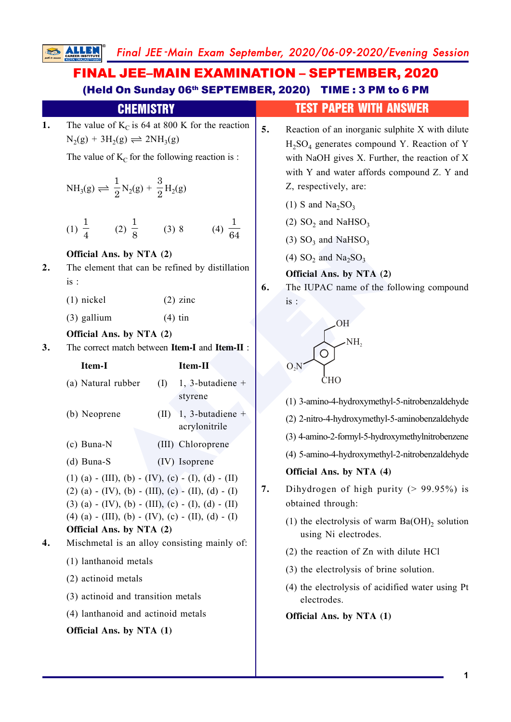# FINAL JEE–MAIN EXAMINATION – SEPTEMBER, 2020 (Held On Sunday 06th SEPTEMBER, 2020) TIME : 3 PM to 6 PM

|    | <b>CHEMISTRY</b>                                                                                                                                                                                                                                                                                                                                                                                                                                                                                    | <b>TEST PAPER WITH ANSWER</b>                                                                                                                                                                                                                                                                                                                                                                                        |  |  |  |
|----|-----------------------------------------------------------------------------------------------------------------------------------------------------------------------------------------------------------------------------------------------------------------------------------------------------------------------------------------------------------------------------------------------------------------------------------------------------------------------------------------------------|----------------------------------------------------------------------------------------------------------------------------------------------------------------------------------------------------------------------------------------------------------------------------------------------------------------------------------------------------------------------------------------------------------------------|--|--|--|
| 1. | The value of $K_C$ is 64 at 800 K for the reaction<br>$N_2(g) + 3H_2(g) \rightleftharpoons 2NH_3(g)$<br>The value of $K_C$ for the following reaction is :<br>$NH_3(g) \rightleftharpoons \frac{1}{2}N_2(g) + \frac{3}{2}H_2(g)$                                                                                                                                                                                                                                                                    | 5.<br>Reaction of an inorganic sulphite X with dilute<br>$H2SO4$ generates compound Y. Reaction of Y<br>with NaOH gives X. Further, the reaction of X<br>with Y and water affords compound Z. Y and<br>Z, respectively, are:                                                                                                                                                                                         |  |  |  |
|    | (1) $\frac{1}{4}$ (2) $\frac{1}{8}$ (3) 8<br>(4) $\frac{1}{64}$                                                                                                                                                                                                                                                                                                                                                                                                                                     | (1) S and $\text{Na}_2\text{SO}_3$<br>(2) $SO_2$ and NaHSO <sub>3</sub><br>$(3)$ SO <sub>3</sub> and NaHSO <sub>3</sub>                                                                                                                                                                                                                                                                                              |  |  |  |
| 2. | Official Ans. by NTA (2)<br>The element that can be refined by distillation<br>is:<br>$(2)$ zinc<br>$(1)$ nickel<br>$(3)$ gallium<br>$(4)$ tin                                                                                                                                                                                                                                                                                                                                                      | (4) $SO_2$ and $Na_2SO_3$<br>Official Ans. by NTA (2)<br>The IUPAC name of the following compound<br>6.<br>is:<br><b>OH</b>                                                                                                                                                                                                                                                                                          |  |  |  |
| 3. | Official Ans. by NTA (2)<br>The correct match between Item-I and Item-II :<br>Item-I<br>Item-II                                                                                                                                                                                                                                                                                                                                                                                                     | NH,                                                                                                                                                                                                                                                                                                                                                                                                                  |  |  |  |
| 4. | (a) Natural rubber<br>1, 3-butadiene +<br>(I)<br>styrene<br>1, 3-butadiene +<br>(b) Neoprene<br>(II)<br>acrylonitrile<br>$(c)$ Buna-N<br>(III) Chloroprene<br>$(d)$ Buna-S<br>(IV) Isoprene<br>(1) (a) - (III), (b) - (IV), (c) - (I), (d) - (II)<br>$(2)$ (a) - (IV), (b) - (III), (c) - (II), (d) - (I)<br>$(3)$ (a) - (IV), (b) - (III), (c) - (I), (d) - (II)<br>(4) (a) - (III), (b) - (IV), (c) - (II), (d) - (I)<br>Official Ans. by NTA (2)<br>Mischmetal is an alloy consisting mainly of: | $O_2N$<br><b>CHO</b><br>(1) 3-amino-4-hydroxymethyl-5-nitrobenzaldehyde<br>(2) 2-nitro-4-hydroxymethyl-5-aminobenzaldehyde<br>(3) 4-amino-2-formyl-5-hydroxymethylnitrobenzene<br>(4) 5-amino-4-hydroxymethyl-2-nitrobenzaldehyde<br>Official Ans. by NTA (4)<br>Dihydrogen of high purity ( $> 99.95\%$ ) is<br>7.<br>obtained through:<br>(1) the electrolysis of warm $Ba(OH)_2$ solution<br>using Ni electrodes. |  |  |  |
|    | (1) lanthanoid metals<br>(2) actinoid metals<br>(3) actinoid and transition metals<br>(4) lanthanoid and actinoid metals<br>Official Ans. by NTA (1)                                                                                                                                                                                                                                                                                                                                                | (2) the reaction of Zn with dilute HCl<br>(3) the electrolysis of brine solution.<br>(4) the electrolysis of acidified water using Pt<br>electrodes.<br>Official Ans. by NTA (1)                                                                                                                                                                                                                                     |  |  |  |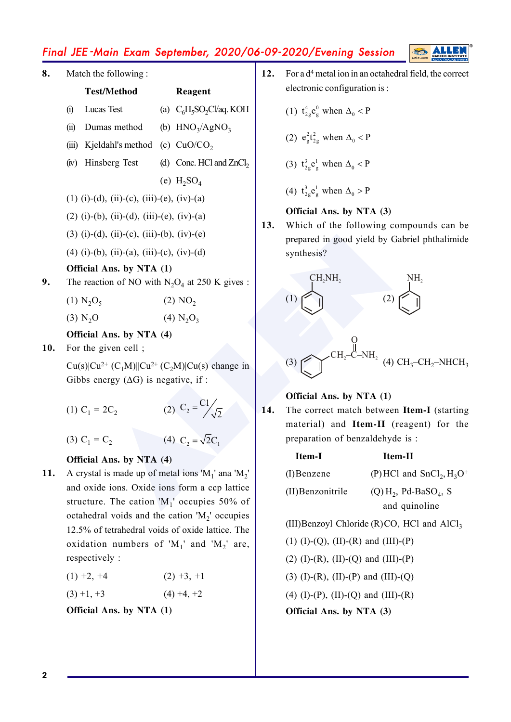| 8.  | Match the following:     |                                                                                                   |  | 12.                                                                                          | For a d <sup>4</sup> metal ion in an octahedral i |                                                                                         |                                     |
|-----|--------------------------|---------------------------------------------------------------------------------------------------|--|----------------------------------------------------------------------------------------------|---------------------------------------------------|-----------------------------------------------------------------------------------------|-------------------------------------|
|     |                          | <b>Test/Method</b>                                                                                |  | Reagent                                                                                      |                                                   | electronic configuration is:                                                            |                                     |
|     | $\Omega$                 | Lucas Test                                                                                        |  | (a) $C_6H_5SO_2Cl$ aq. KOH                                                                   |                                                   | (1) $t_{2g}^4 e_g^0$ when $\Delta_0 < P$                                                |                                     |
|     | (ii)                     | Dumas method                                                                                      |  | (b) $HNO3/AgNO3$                                                                             |                                                   |                                                                                         |                                     |
|     |                          | (iii) Kjeldahl's method                                                                           |  | (c) $CuO/CO2$                                                                                |                                                   | (2) $e_{g}^{2}t_{2g}^{2}$ when $\Delta_0 < P$                                           |                                     |
|     |                          | (iv) Hinsberg Test                                                                                |  | (d) Conc. HCl and $ZnCl2$                                                                    |                                                   | (3) $t_{2g}^3 e_g^1$ when $\Delta_0 < P$                                                |                                     |
|     |                          |                                                                                                   |  | (e) $H_2SO_4$                                                                                |                                                   |                                                                                         |                                     |
|     |                          | $(1)$ (i)-(d), (ii)-(c), (iii)-(e), (iv)-(a)                                                      |  |                                                                                              |                                                   | (4) $t_{2g}^3 e_g^1$ when $\Delta_0 > P$                                                |                                     |
|     |                          | $(2)$ (i)-(b), (ii)-(d), (iii)-(e), (iv)-(a)                                                      |  |                                                                                              |                                                   | Official Ans. by NTA (3)                                                                |                                     |
|     |                          | (3) (i)-(d), (ii)-(c), (iii)-(b), (iv)-(e)                                                        |  |                                                                                              | 13.                                               | Which of the following comp<br>prepared in good yield by Gabri                          |                                     |
|     |                          | $(4)$ (i)-(b), (ii)-(a), (iii)-(c), (iv)-(d)                                                      |  |                                                                                              |                                                   | synthesis?                                                                              |                                     |
|     |                          | Official Ans. by NTA (1)                                                                          |  |                                                                                              |                                                   |                                                                                         |                                     |
| 9.  |                          |                                                                                                   |  | The reaction of NO with $N_2O_4$ at 250 K gives :                                            |                                                   | CH <sub>2</sub> NH <sub>2</sub>                                                         |                                     |
|     |                          | $(1)$ N <sub>2</sub> O <sub>5</sub>                                                               |  | (2) NO <sub>2</sub>                                                                          |                                                   | (1)                                                                                     |                                     |
|     |                          | (3) N <sub>2</sub> O                                                                              |  | $(4)$ N <sub>2</sub> O <sub>3</sub>                                                          |                                                   |                                                                                         |                                     |
|     | Official Ans. by NTA (4) |                                                                                                   |  |                                                                                              |                                                   |                                                                                         |                                     |
| 10. | For the given cell;      |                                                                                                   |  |                                                                                              |                                                   | $CH_2$ -C-NH <sub>2</sub> (4) CH <sub>2</sub>                                           |                                     |
|     |                          | $Cu(s)$  Cu <sup>2+</sup> (C <sub>1</sub> M)  Cu <sup>2+</sup> (C <sub>2</sub> M) Cu(s) change in |  |                                                                                              |                                                   | (3)                                                                                     |                                     |
|     |                          | Gibbs energy $(\Delta G)$ is negative, if :                                                       |  |                                                                                              |                                                   |                                                                                         |                                     |
|     |                          | (1) $C_1 = 2C_2$                                                                                  |  | (2) $C_2 = \frac{C1}{\sqrt{2}}$                                                              | 14.                                               | Official Ans. by NTA (1)<br>The correct match between It<br>material) and Item-II (reag |                                     |
|     |                          | (3) $C_1 = C_2$                                                                                   |  | (4) $C_2 = \sqrt{2}C_1$                                                                      |                                                   | preparation of benzaldehyde is                                                          |                                     |
|     |                          | Official Ans. by NTA (4)                                                                          |  |                                                                                              |                                                   | Item-I                                                                                  | Item-Il                             |
| 11. |                          |                                                                                                   |  | A crystal is made up of metal ions $M_1$ and $M_2$                                           |                                                   | $(I)$ Benzene                                                                           | $(P)$ HCl an                        |
|     |                          |                                                                                                   |  | and oxide ions. Oxide ions form a ccp lattice<br>structure. The cation $M_1$ occupies 50% of |                                                   | (II) Benzonitrile                                                                       | $(Q)$ H <sub>2</sub> , Pd<br>and qu |

# (4)  $C_2 = \sqrt{2}C_1$

#### **Official Ans. by NTA (4)**

**11.** A crystal is made up of metal ions ' $M_1$ ' ana ' $M_2$ ' and oxide ions. Oxide ions form a ccp lattice structure. The cation ' $M_1$ ' occupies 50% of octahedral voids and the cation 'M 2 ' occupies 12.5% of tetrahedral voids of oxide lattice. The oxidation numbers of ' $M_1$ ' and ' $M_2$ ' are, respectively :

| $(2) +3, +1$<br>$(1) +2, +4$ |
|------------------------------|
|------------------------------|

 $(3) +1, +3$  (4) +4, +2

**Official Ans. by NTA (1)**

**12.** For a d <sup>4</sup> metal ion in an octahedral field, the correct electronic configuration is :

(1) 
$$
t_{2g}^4 e_g^0
$$
 when  $\Delta_0 < P$ 

(2) 
$$
e_g^2 t_{2g}^2
$$
 when  $\Delta_0 < P$ 

(3) 
$$
t_{2g}^3 e_g^1
$$
 when  $\Delta_0 < P$ 

## **Official Ans. by NTA (3)**

**13.** Which of the following compounds can be prepared in good yield by Gabriel phthalimide synthesis?



### **Official Ans. by NTA (1)**

**14.** The correct match between **Item-I** (starting material) and **Item-II** (reagent) for the preparation of benzaldehyde is :

| Item-I            | Item-II                                         |
|-------------------|-------------------------------------------------|
| $(I)$ Benzene     | (P) HCl and $SnCl2, H3O+$                       |
| (II) Benzonitrile | $(Q)$ H <sub>2</sub> , Pd-BaSO <sub>4</sub> , S |
|                   | and quinoline                                   |

(III) Benzoyl Chloride (R) CO, HCl and  $AICI_3$ 

(1) (I)-(Q), (II)-(R) and (III)-(P)

(2) (I)-(R), (II)-(Q) and (III)-(P)

(3) (I)-(R), (II)-(P) and (III)-(Q)

(4) (I)-(P), (II)-(Q) and (III)-(R)

**Official Ans. by NTA (3)**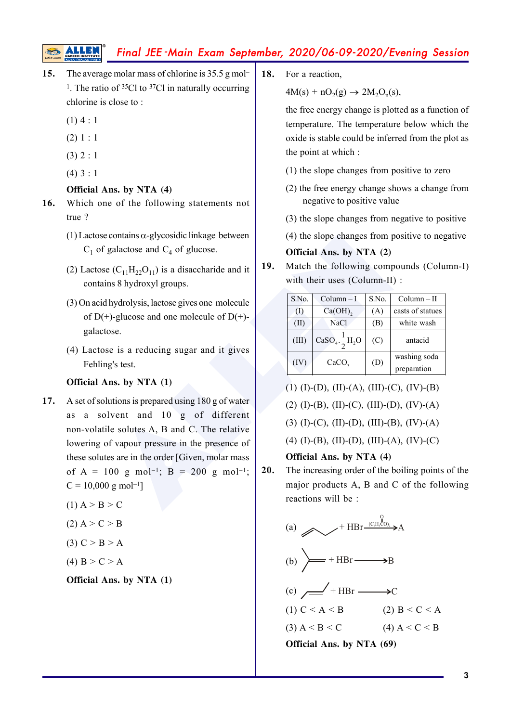- **15.** The average molar mass of chlorine is 35.5 g mol <sup>1</sup>. The ratio of  $35Cl$  to  $37Cl$  in naturally occurring chlorine is close to :
	- $(1)$  4 : 1
	- $(2) 1 : 1$
	- $(3) 2 : 1$
	- $(4) 3 : 1$

#### **Official Ans. by NTA (4)**

- **16.** Which one of the following statements not true ?
	- (1) Lactose contains  $\alpha$ -glycosidic linkage between  $C_1$  of galactose and  $C_4$  of glucose.
	- (2) Lactose  $(C_{11}H_{22}O_{11})$  is a disaccharide and it contains 8 hydroxyl groups.
	- (3) On acid hydrolysis, lactose gives one molecule of  $D(+)$ -glucose and one molecule of  $D(+)$ galactose.
	- (4) Lactose is a reducing sugar and it gives Fehling's test.

#### **Official Ans. by NTA (1)**

- 2) e (C<sub>11</sub>H<sub>22</sub>O<sub>11</sub>) is a disaccharide and it<br>
(A) the slope changes from positive glactose and C<sub>4</sub> of glucose.<br>
(C<sub>11</sub>H<sub>22</sub>O<sub>11</sub>) is a disaccharide and it<br>
Hydrolysis, lactose gives one molecule<br>
+)-glucose and one mo **17.** A set of solutions is prepared using 180 g of water as a solvent and 10 g of different non-volatile solutes A, B and C. The relative lowering of vapour pressure in the presence of these solutes are in the order [Given, molar mass of A = 100 g mol<sup>-1</sup>; B = 200 g mol<sup>-1</sup>;  $C = 10,000$  g mol<sup>-1</sup>]
	- $(1)$  A > B > C
	- $(2) A > C > B$
	- (3)  $C > B > A$
	- (4)  $B > C > A$

**Official Ans. by NTA (1)**

**18.** For a reaction,

 $4M(s) + nO_2(g) \rightarrow 2M_2O_n(s)$ ,

the free energy change is plotted as a function of temperature. The temperature below which the oxide is stable could be inferred from the plot as the point at which :

- (1) the slope changes from positive to zero
- (2) the free energy change shows a change from negative to positive value
- (3) the slope changes from negative to positive
- (4) the slope changes from positive to negative

#### **Official Ans. by NTA (2)**

**19.** Match the following compounds (Column-I) with their uses (Column-II) :

| S.No. | $Column-I$               | S.No. | $Column - II$    |
|-------|--------------------------|-------|------------------|
| (1)   | $Ca(OH)$ ,               | (A)   | casts of statues |
| (II)  | <b>NaCl</b>              | (B)   | white wash       |
| (III) | $CaSO_4.\frac{1}{2}H_2O$ | (C)   | antacid          |
| (IV)  | CaCO <sub>3</sub>        | (D)   | washing soda     |
|       |                          |       | preparation      |

- (1) (I)-(D), (II)-(A), (III)-(C), (IV)-(B)
- $(2)$  (I)-(B), (II)-(C), (III)-(D), (IV)-(A)

(3) (I)-(C), (II)-(D), (III)-(B), (IV)-(A)

(4) (I)-(B), (II)-(D), (III)-(A), (IV)-(C)

**Official Ans. by NTA (4)**

**20.** The increasing order of the boiling points of the major products A, B and C of the following reactions will be :

(a) 
$$
\longrightarrow
$$
 + HBr <sup>(C<sub>e</sub>H<sub>s</sub>CO)<sub>2</sub></sup>  $\longrightarrow$  A

(b) 
$$
\rightarrow
$$
 + HBr  $\rightarrow$  B

(c) 
$$
\overline{\phantom{a}} + \text{HBr} \longrightarrow C
$$

(1)  $C < A < B$  (2)  $B < C < A$ (3)  $A < B < C$  (4)  $A < C < B$ 

**Official Ans. by NTA (69)**